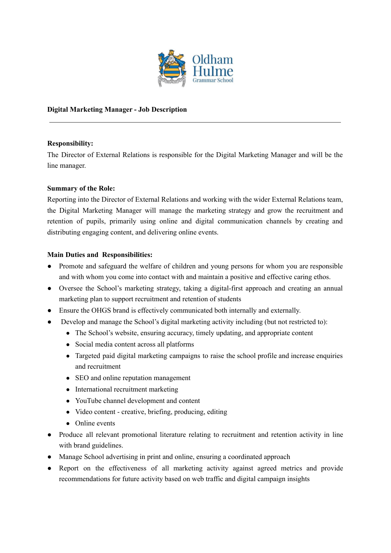

### **Digital Marketing Manager - Job Description**

#### **Responsibility:**

The Director of External Relations is responsible for the Digital Marketing Manager and will be the line manager.

#### **Summary of the Role:**

Reporting into the Director of External Relations and working with the wider External Relations team, the Digital Marketing Manager will manage the marketing strategy and grow the recruitment and retention of pupils, primarily using online and digital communication channels by creating and distributing engaging content, and delivering online events.

#### **Main Duties and Responsibilities:**

- Promote and safeguard the welfare of children and young persons for whom you are responsible and with whom you come into contact with and maintain a positive and effective caring ethos.
- Oversee the School's marketing strategy, taking a digital-first approach and creating an annual marketing plan to support recruitment and retention of students
- Ensure the OHGS brand is effectively communicated both internally and externally.
- Develop and manage the School's digital marketing activity including (but not restricted to):
	- The School's website, ensuring accuracy, timely updating, and appropriate content
	- Social media content across all platforms
	- Targeted paid digital marketing campaigns to raise the school profile and increase enquiries and recruitment
	- SEO and online reputation management
	- International recruitment marketing
	- YouTube channel development and content
	- Video content creative, briefing, producing, editing
	- Online events
- Produce all relevant promotional literature relating to recruitment and retention activity in line with brand guidelines.
- Manage School advertising in print and online, ensuring a coordinated approach
- Report on the effectiveness of all marketing activity against agreed metrics and provide recommendations for future activity based on web traffic and digital campaign insights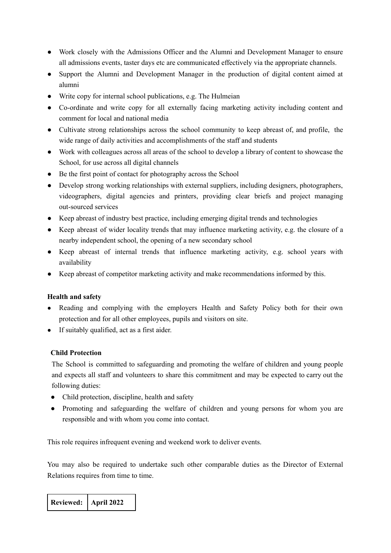- Work closely with the Admissions Officer and the Alumni and Development Manager to ensure all admissions events, taster days etc are communicated effectively via the appropriate channels.
- Support the Alumni and Development Manager in the production of digital content aimed at alumni
- Write copy for internal school publications, e.g. The Hulmeian
- Co-ordinate and write copy for all externally facing marketing activity including content and comment for local and national media
- Cultivate strong relationships across the school community to keep abreast of, and profile, the wide range of daily activities and accomplishments of the staff and students
- Work with colleagues across all areas of the school to develop a library of content to showcase the School, for use across all digital channels
- Be the first point of contact for photography across the School
- Develop strong working relationships with external suppliers, including designers, photographers, videographers, digital agencies and printers, providing clear briefs and project managing out-sourced services
- Keep abreast of industry best practice, including emerging digital trends and technologies
- Keep abreast of wider locality trends that may influence marketing activity, e.g. the closure of a nearby independent school, the opening of a new secondary school
- Keep abreast of internal trends that influence marketing activity, e.g. school years with availability
- Keep abreast of competitor marketing activity and make recommendations informed by this.

## **Health and safety**

- Reading and complying with the employers Health and Safety Policy both for their own protection and for all other employees, pupils and visitors on site.
- If suitably qualified, act as a first aider.

## **Child Protection**

The School is committed to safeguarding and promoting the welfare of children and young people and expects all staff and volunteers to share this commitment and may be expected to carry out the following duties:

- Child protection, discipline, health and safety
- Promoting and safeguarding the welfare of children and young persons for whom you are responsible and with whom you come into contact.

This role requires infrequent evening and weekend work to deliver events.

You may also be required to undertake such other comparable duties as the Director of External Relations requires from time to time.

**Reviewed: April 2022**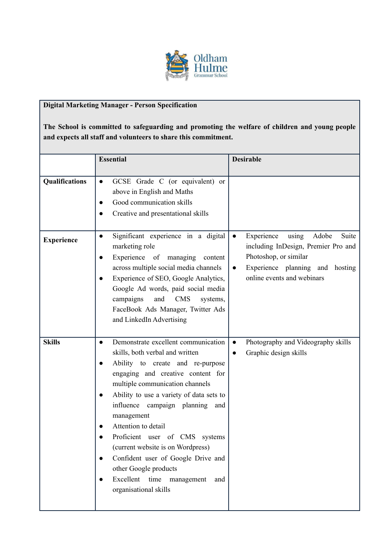

# **Digital Marketing Manager - Person Specification**

**The School is committed to safeguarding and promoting the welfare of children and young people and expects all staff and volunteers to share this commitment.**

|                   | <b>Essential</b>                                                                                                                                                                                                                                                                                                                                                                                                                                                                                                          | <b>Desirable</b>                                                                                                                                                                                 |
|-------------------|---------------------------------------------------------------------------------------------------------------------------------------------------------------------------------------------------------------------------------------------------------------------------------------------------------------------------------------------------------------------------------------------------------------------------------------------------------------------------------------------------------------------------|--------------------------------------------------------------------------------------------------------------------------------------------------------------------------------------------------|
|                   |                                                                                                                                                                                                                                                                                                                                                                                                                                                                                                                           |                                                                                                                                                                                                  |
| Qualifications    | GCSE Grade C (or equivalent) or<br>$\bullet$<br>above in English and Maths<br>Good communication skills<br>$\bullet$<br>Creative and presentational skills                                                                                                                                                                                                                                                                                                                                                                |                                                                                                                                                                                                  |
| <b>Experience</b> | Significant experience in a digital<br>$\bullet$<br>marketing role<br>Experience of managing<br>content<br>$\bullet$<br>across multiple social media channels<br>Experience of SEO, Google Analytics,<br>$\bullet$<br>Google Ad words, paid social media<br>and<br><b>CMS</b><br>campaigns<br>systems,<br>FaceBook Ads Manager, Twitter Ads<br>and LinkedIn Advertising                                                                                                                                                   | Experience<br>Adobe<br>Suite<br>using<br>$\bullet$<br>including InDesign, Premier Pro and<br>Photoshop, or similar<br>Experience planning and hosting<br>$\bullet$<br>online events and webinars |
| <b>Skills</b>     | Demonstrate excellent communication<br>$\bullet$<br>skills, both verbal and written<br>Ability to create and re-purpose<br>engaging and creative content for<br>multiple communication channels<br>Ability to use a variety of data sets to<br>influence campaign planning and<br>management<br>Attention to detail<br>Proficient user of CMS systems<br>(current website is on Wordpress)<br>Confident user of Google Drive and<br>other Google products<br>Excellent time<br>management<br>and<br>organisational skills | Photography and Videography skills<br>$\bullet$<br>Graphic design skills<br>$\bullet$                                                                                                            |